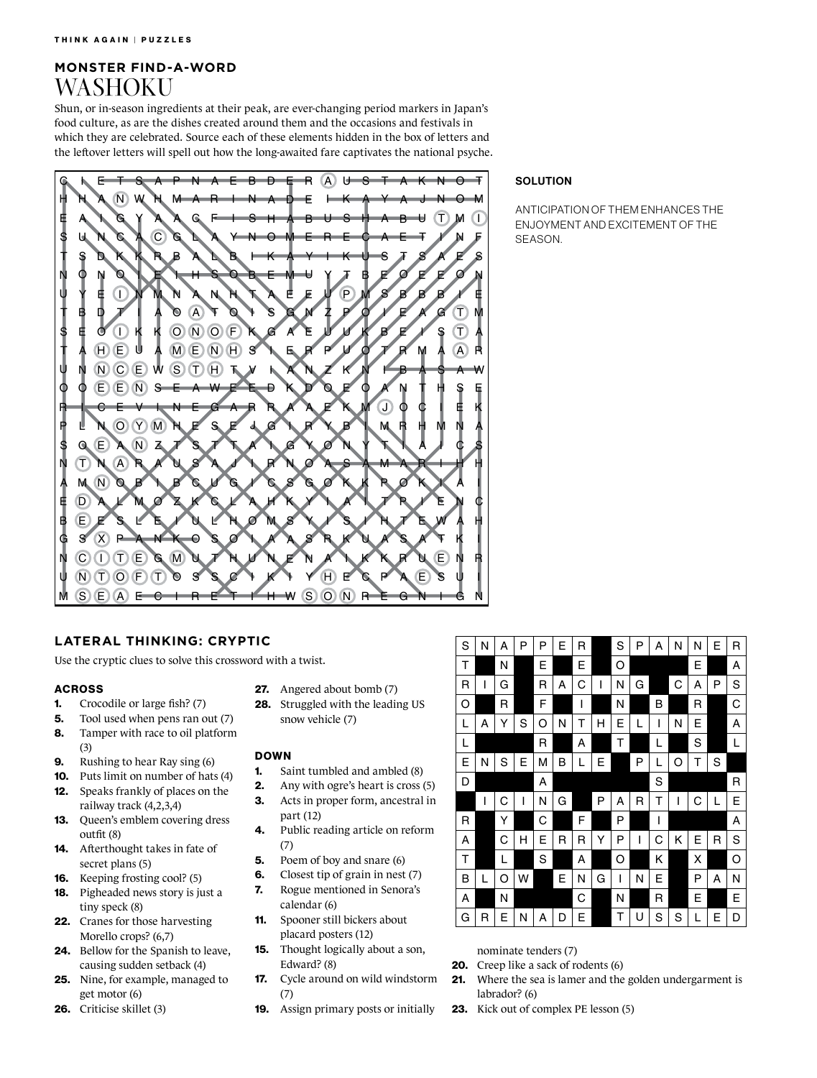## **MONSTER FIND-A-WORD** WASHOKU

Shun, or in-season ingredients at their peak, are ever-changing period markers in Japan's food culture, as are the dishes created around them and the occasions and festivals in which they are celebrated. Source each of these elements hidden in the box of letters and the leftover letters will spell out how the long-awaited fare captivates the national psyche.



### **SOLUTION**

ANTICIPATION OF THEM ENHANCES THE ENJOYMENT AND EXCITEMENT OF THE **SEASON** 

## **LATERAL THINKING: CRYPTIC**

Use the cryptic clues to solve this crossword with a twist.

#### ACROSS

- 1. Crocodile or large fish? (7)
- 5. Tool used when pens ran out (7)
- 8. Tamper with race to oil platform (3)
- 9. Rushing to hear Ray sing (6)
- 10. Puts limit on number of hats (4) 12. Speaks frankly of places on the railway track (4,2,3,4)
- 13. Queen's emblem covering dress outfit (8)
- 14. Afterthought takes in fate of secret plans (5)
- 16. Keeping frosting cool? (5)
- 18. Pigheaded news story is just a tiny speck (8)
- 22. Cranes for those harvesting Morello crops? (6,7)
- 24. Bellow for the Spanish to leave, causing sudden setback (4)
- 25. Nine, for example, managed to get motor (6)
- 26. Criticise skillet (3)
- 27. Angered about bomb (7)
- 28. Struggled with the leading US snow vehicle (7)

#### DOWN

- **1.** Saint tumbled and ambled (8)
- **2.** Any with ogre's heart is cross (5)
- 3. Acts in proper form, ancestral in
- 4. Public reading article on reform
- 5. Poem of boy and snare (6)
- 6. Closest tip of grain in nest (7)
- 7. Rogue mentioned in Senora's
- 11. Spooner still bickers about placard posters (12)
- 15. Thought logically about a son, Edward? (8)
- 17. Cycle around on wild windstorm (7)
- 19. Assign primary posts or initially

| S | Ν | Α | P | P | E | R |   | S | P | Α | Ν | N | E | R |
|---|---|---|---|---|---|---|---|---|---|---|---|---|---|---|
| т |   | Ν |   | E |   | E |   | O |   |   |   | E |   | Α |
| R | I | G |   | R | Α | С | I | N | G |   | С | Α | P | S |
| O |   | R |   | F |   | I |   | Ν |   | B |   | R |   | С |
| L | Α | Y | S | O | N | т | н | Е | L | I | N | Ε |   | Α |
| L |   |   |   | R |   | Α |   | Т |   | L |   | S |   | L |
| Е | Ν | S | E | М | В | L | E |   | P | L | O | т | S |   |
| D |   |   |   | Α |   |   |   |   |   | S |   |   |   | R |
|   | I | С | I | Ν | G |   | P | Α | R | Т | I | С |   | E |
| R |   | Υ |   | С |   | F |   | P |   | I |   |   |   | Α |
| Α |   | С | Н | E | R | R | Y | P | I | С | Κ | E | R | S |
| Τ |   | L |   | S |   | Α |   | O |   | Κ |   | X |   | O |
| В | L | O | W |   | E | Ν | G | I | Ν | Е |   | P | Α | Ν |
| A |   | Ν |   |   |   | С |   | Ν |   | R |   | Е |   | Е |
| G | R | E | Ν | Α | D | E |   | Т | U | S | S | L | E | D |

nominate tenders (7)

- **20.** Creep like a sack of rodents (6)
- 21. Where the sea is lamer and the golden undergarment is labrador? (6)
- 23. Kick out of complex PE lesson (5)
- 
- -
	-
	- part (12)
	- (7)
	-
	-
	- calendar (6)
		-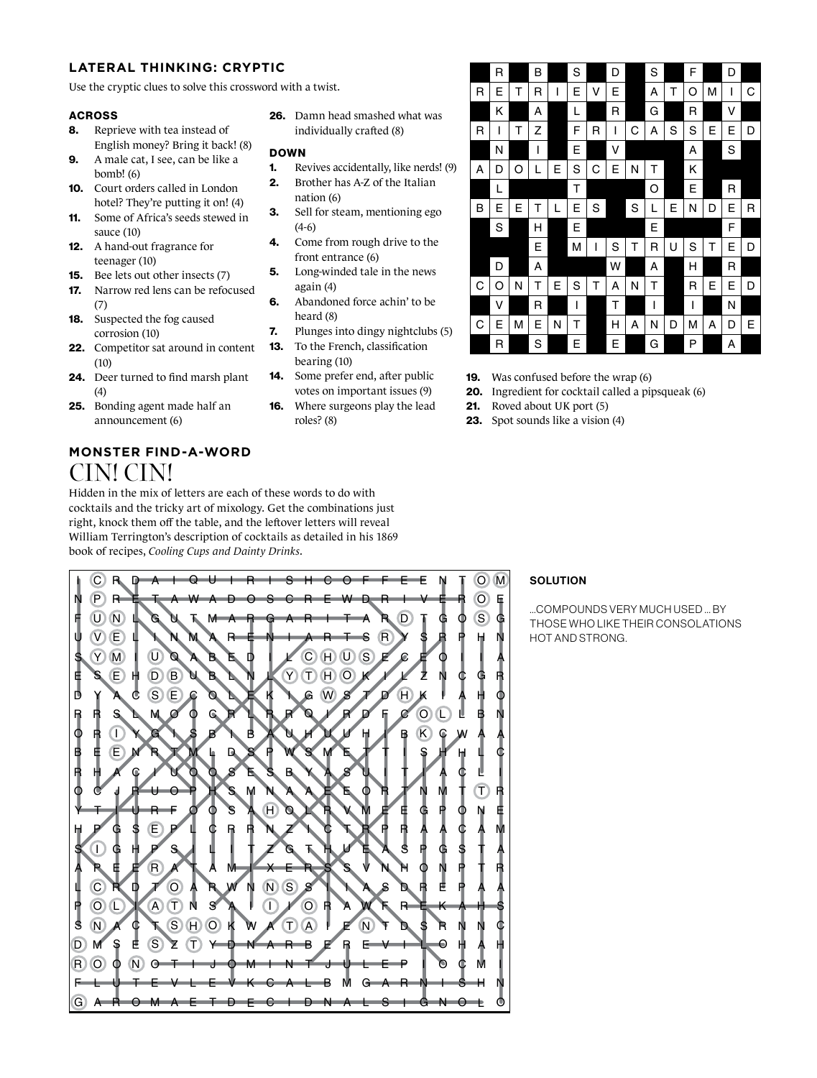## **LATERAL THINKING: CRYPTIC**

Use the cryptic clues to solve this crossword with a twist.

### ACROSS

- 8. Reprieve with tea instead of English money? Bring it back! (8)
- 9. A male cat, I see, can be like a bomb! (6)
- 10. Court orders called in London hotel? They're putting it on! (4)
- 11. Some of Africa's seeds stewed in sauce (10)
- 12. A hand-out fragrance for teenager (10)
- 15. Bee lets out other insects (7)
- 17. Narrow red lens can be refocused (7)
- 18. Suspected the fog caused corrosion (10)
- 22. Competitor sat around in content  $(10)$
- 24. Deer turned to find marsh plant (4)
- 25. Bonding agent made half an announcement (6)

# **MONSTER FIND-A-WORD** CIN! CIN!

Hidden in the mix of letters are each of these words to do with cocktails and the tricky art of mixology. Get the combinations just right, knock them off the table, and the leftover letters will reveal William Terrington's description of cocktails as detailed in his 1869 book of recipes, *Cooling Cups and Dainty Drinks*.

26. Damn head smashed what was individually crafted (8)

### **DOWN**

- 1. Revives accidentally, like nerds! (9)
- 2. Brother has A-Z of the Italian nation (6)
- 3. Sell for steam, mentioning ego (4-6)
- 4. Come from rough drive to the front entrance (6)
- **5.** Long-winded tale in the news again (4)
- 6. Abandoned force achin' to be heard (8)
- 7. Plunges into dingy nightclubs (5)
- 13. To the French, classification bearing (10)
- 14. Some prefer end, after public votes on important issues (9) 16. Where surgeons play the lead roles? (8)
- 19. Was confused before the wrap (6)
	- 20. Ingredient for cocktail called a pipsqueak (6) 21. Roved about UK port (5)
	- 23. Spot sounds like a vision (4)

G F R O  $\overline{D}$ S P L A S H Y O R B O R D E S U F N I A L M N  $\overline{O}$ C P  $\mathbf T$ P T  $\mathbb C$ H E R R Y S Y M V E U N  $(P)$ C R U O S A L R E G G I J A E  $\mathbf{I}$ S A E R R  $\Theta$ T N E C I D E H S U R C N Y L C H I L L E D M E O S T A T R P E R U I R G M S  $\overline{D}$  $\overline{U}$ I G T A A V T Z S  $\bigcap$ O A S P F  $\bullet$ U T I  $\bm{\mathcal{O}}$ E B Q N U A I E L I T  $\circ$ N A T I L O P O M S O C U A M T W  $\Theta$ T E J Y O S R A L C O H O L B C O B B A M A U  $\overline{D}$ V O D K A W M I R S S S R I R L L E R A D I E K M N W I N I T R A M E S B L E N D E R  $\Theta$ R  $\Theta$  $\bm{\Theta}$ I A A  $\mathbb T$ N S X Z N  $\mathbf \Pi$ N S P A R K L I N G S I I A N R  $\left( \mathsf{T}\right)$ I E G Z O A B W U R I Y L I A  $\mathbf{e}$ S D L T B A O S R T I L A Y S H Q G  $\left( \mathsf{T}\right)$  $\overline{C}$ A R R H N B J E I R I S H C R E A M U I W H O  $\circ$ R I E  $\Theta$ A M U R E A I S U T V E S E U R S  $\left(\overline{U}\right)$ T T W O F F L G L E N W A V E R M O U T H D T K S S A D S A E V T F S N A P E R I T I F D I E R R R I R P I D R D H S R E T T I B  $\boldsymbol{c}$ **H** L  $\bm{c}$ Y D I E G N I L S E R O P A G N I S K O K Z E S T V E N I O  $\Theta$ R K E N G A P M A H  $\subset$ L I N O R G E N  $\Theta$ S C H N A P P S C  $\bigcap$ T C H W L A C I P  $\mathbb G$ R T L H M A N H A T T A N  $\overline{\mathsf{T}}$ L L A B H G I H S O O M O N I H C S A R A M E R I C A N O R A N G E

## **SOLUTION**

…COMPOUNDS VERY MUCH USED … BY THOSE WHO LIKE THEIR CONSOLATIONS HOT AND STRONG.